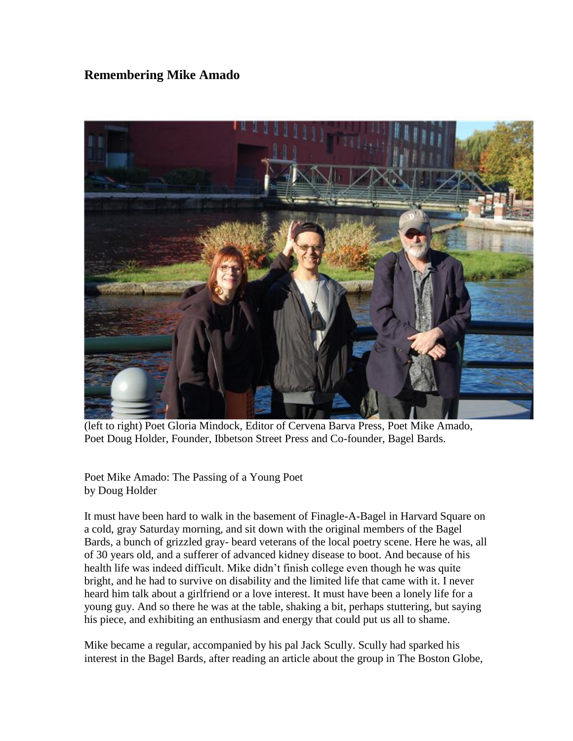## **Remembering Mike Amado**



(left to right) Poet Gloria Mindock, Editor of Cervena Barva Press, Poet Mike Amado, Poet Doug Holder, Founder, Ibbetson Street Press and Co-founder, Bagel Bards.

Poet Mike Amado: The Passing of a Young Poet by Doug Holder

It must have been hard to walk in the basement of Finagle-A-Bagel in Harvard Square on a cold, gray Saturday morning, and sit down with the original members of the Bagel Bards, a bunch of grizzled gray- beard veterans of the local poetry scene. Here he was, all of 30 years old, and a sufferer of advanced kidney disease to boot. And because of his health life was indeed difficult. Mike didn't finish college even though he was quite bright, and he had to survive on disability and the limited life that came with it. I never heard him talk about a girlfriend or a love interest. It must have been a lonely life for a young guy. And so there he was at the table, shaking a bit, perhaps stuttering, but saying his piece, and exhibiting an enthusiasm and energy that could put us all to shame.

Mike became a regular, accompanied by his pal Jack Scully. Scully had sparked his interest in the Bagel Bards, after reading an article about the group in The Boston Globe,